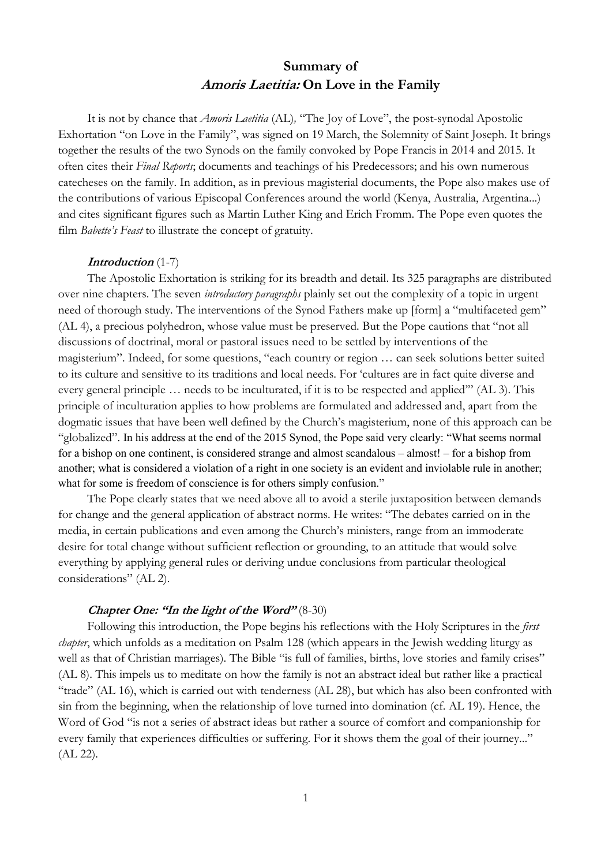# **Summary of Amoris Laetitia: On Love in the Family**

It is not by chance that *Amoris Laetitia* (AL)*,* "The Joy of Love", the post-synodal Apostolic Exhortation "on Love in the Family", was signed on 19 March, the Solemnity of Saint Joseph. It brings together the results of the two Synods on the family convoked by Pope Francis in 2014 and 2015. It often cites their *Final Reports*; documents and teachings of his Predecessors; and his own numerous catecheses on the family. In addition, as in previous magisterial documents, the Pope also makes use of the contributions of various Episcopal Conferences around the world (Kenya, Australia, Argentina...) and cites significant figures such as Martin Luther King and Erich Fromm. The Pope even quotes the film *Babette's Feast* to illustrate the concept of gratuity.

#### **Introduction** (1-7)

The Apostolic Exhortation is striking for its breadth and detail. Its 325 paragraphs are distributed over nine chapters. The seven *introductory paragraphs* plainly set out the complexity of a topic in urgent need of thorough study. The interventions of the Synod Fathers make up [form] a "multifaceted gem" (AL 4), a precious polyhedron, whose value must be preserved. But the Pope cautions that "not all discussions of doctrinal, moral or pastoral issues need to be settled by interventions of the magisterium". Indeed, for some questions, "each country or region … can seek solutions better suited to its culture and sensitive to its traditions and local needs. For 'cultures are in fact quite diverse and every general principle … needs to be inculturated, if it is to be respected and applied'" (AL 3). This principle of inculturation applies to how problems are formulated and addressed and, apart from the dogmatic issues that have been well defined by the Church's magisterium, none of this approach can be "globalized". In his address at the end of the 2015 Synod, the Pope said very clearly: "What seems normal for a bishop on one continent, is considered strange and almost scandalous – almost! – for a bishop from another; what is considered a violation of a right in one society is an evident and inviolable rule in another; what for some is freedom of conscience is for others simply confusion."

The Pope clearly states that we need above all to avoid a sterile juxtaposition between demands for change and the general application of abstract norms. He writes: "The debates carried on in the media, in certain publications and even among the Church's ministers, range from an immoderate desire for total change without sufficient reflection or grounding, to an attitude that would solve everything by applying general rules or deriving undue conclusions from particular theological considerations" (AL 2).

## **Chapter One: "In the light of the Word"** (8-30)

Following this introduction, the Pope begins his reflections with the Holy Scriptures in the *first chapter*, which unfolds as a meditation on Psalm 128 (which appears in the Jewish wedding liturgy as well as that of Christian marriages). The Bible "is full of families, births, love stories and family crises" (AL 8). This impels us to meditate on how the family is not an abstract ideal but rather like a practical "trade" (AL 16), which is carried out with tenderness (AL 28), but which has also been confronted with sin from the beginning, when the relationship of love turned into domination (cf. AL 19). Hence, the Word of God "is not a series of abstract ideas but rather a source of comfort and companionship for every family that experiences difficulties or suffering. For it shows them the goal of their journey..." (AL 22).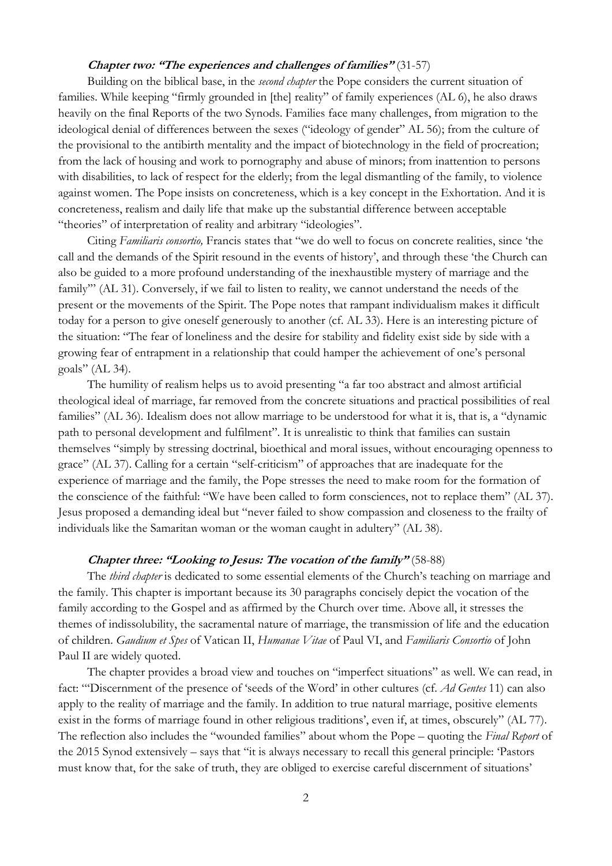# **Chapter two: "The experiences and challenges of families"** (31-57)

Building on the biblical base, in the *second chapter* the Pope considers the current situation of families. While keeping "firmly grounded in [the] reality" of family experiences (AL 6), he also draws heavily on the final Reports of the two Synods. Families face many challenges, from migration to the ideological denial of differences between the sexes ("ideology of gender" AL 56); from the culture of the provisional to the antibirth mentality and the impact of biotechnology in the field of procreation; from the lack of housing and work to pornography and abuse of minors; from inattention to persons with disabilities, to lack of respect for the elderly; from the legal dismantling of the family, to violence against women. The Pope insists on concreteness, which is a key concept in the Exhortation. And it is concreteness, realism and daily life that make up the substantial difference between acceptable "theories" of interpretation of reality and arbitrary "ideologies".

Citing *Familiaris consortio,* Francis states that "we do well to focus on concrete realities, since 'the call and the demands of the Spirit resound in the events of history', and through these 'the Church can also be guided to a more profound understanding of the inexhaustible mystery of marriage and the family'" (AL 31). Conversely, if we fail to listen to reality, we cannot understand the needs of the present or the movements of the Spirit. The Pope notes that rampant individualism makes it difficult today for a person to give oneself generously to another (cf. AL 33). Here is an interesting picture of the situation: "The fear of loneliness and the desire for stability and fidelity exist side by side with a growing fear of entrapment in a relationship that could hamper the achievement of one's personal goals" (AL 34).

The humility of realism helps us to avoid presenting "a far too abstract and almost artificial theological ideal of marriage, far removed from the concrete situations and practical possibilities of real families" (AL 36). Idealism does not allow marriage to be understood for what it is, that is, a "dynamic path to personal development and fulfilment". It is unrealistic to think that families can sustain themselves "simply by stressing doctrinal, bioethical and moral issues, without encouraging openness to grace" (AL 37). Calling for a certain "self-criticism" of approaches that are inadequate for the experience of marriage and the family, the Pope stresses the need to make room for the formation of the conscience of the faithful: "We have been called to form consciences, not to replace them" (AL 37). Jesus proposed a demanding ideal but "never failed to show compassion and closeness to the frailty of individuals like the Samaritan woman or the woman caught in adultery" (AL 38).

#### **Chapter three: "Looking to Jesus: The vocation of the family"** (58-88)

The *third chapter* is dedicated to some essential elements of the Church's teaching on marriage and the family. This chapter is important because its 30 paragraphs concisely depict the vocation of the family according to the Gospel and as affirmed by the Church over time. Above all, it stresses the themes of indissolubility, the sacramental nature of marriage, the transmission of life and the education of children. *Gaudium et Spes* of Vatican II, *Humanae Vitae* of Paul VI, and *Familiaris Consortio* of John Paul II are widely quoted.

The chapter provides a broad view and touches on "imperfect situations" as well. We can read, in fact: "'Discernment of the presence of 'seeds of the Word' in other cultures (cf. *Ad Gentes* 11) can also apply to the reality of marriage and the family. In addition to true natural marriage, positive elements exist in the forms of marriage found in other religious traditions', even if, at times, obscurely" (AL 77). The reflection also includes the "wounded families" about whom the Pope – quoting the *Final Report* of the 2015 Synod extensively – says that "it is always necessary to recall this general principle: 'Pastors must know that, for the sake of truth, they are obliged to exercise careful discernment of situations'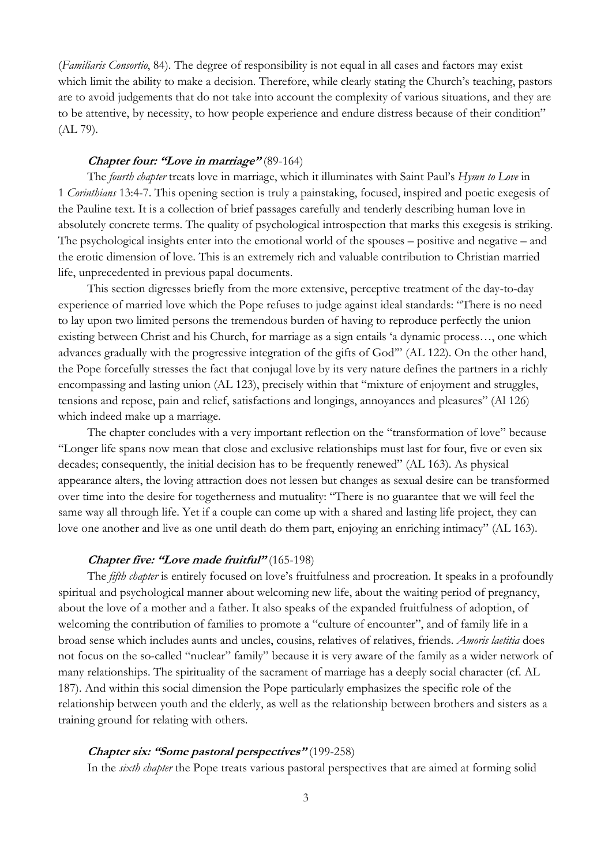(*Familiaris Consortio*, 84). The degree of responsibility is not equal in all cases and factors may exist which limit the ability to make a decision. Therefore, while clearly stating the Church's teaching, pastors are to avoid judgements that do not take into account the complexity of various situations, and they are to be attentive, by necessity, to how people experience and endure distress because of their condition" (AL 79).

#### **Chapter four: "Love in marriage"** (89-164)

The *fourth chapter* treats love in marriage, which it illuminates with Saint Paul's *Hymn to Love* in 1 *Corinthians* 13:4-7. This opening section is truly a painstaking, focused, inspired and poetic exegesis of the Pauline text. It is a collection of brief passages carefully and tenderly describing human love in absolutely concrete terms. The quality of psychological introspection that marks this exegesis is striking. The psychological insights enter into the emotional world of the spouses – positive and negative – and the erotic dimension of love. This is an extremely rich and valuable contribution to Christian married life, unprecedented in previous papal documents.

This section digresses briefly from the more extensive, perceptive treatment of the day-to-day experience of married love which the Pope refuses to judge against ideal standards: "There is no need to lay upon two limited persons the tremendous burden of having to reproduce perfectly the union existing between Christ and his Church, for marriage as a sign entails 'a dynamic process…, one which advances gradually with the progressive integration of the gifts of God'" (AL 122). On the other hand, the Pope forcefully stresses the fact that conjugal love by its very nature defines the partners in a richly encompassing and lasting union (AL 123), precisely within that "mixture of enjoyment and struggles, tensions and repose, pain and relief, satisfactions and longings, annoyances and pleasures" (Al 126) which indeed make up a marriage.

The chapter concludes with a very important reflection on the "transformation of love" because "Longer life spans now mean that close and exclusive relationships must last for four, five or even six decades; consequently, the initial decision has to be frequently renewed" (AL 163). As physical appearance alters, the loving attraction does not lessen but changes as sexual desire can be transformed over time into the desire for togetherness and mutuality: "There is no guarantee that we will feel the same way all through life. Yet if a couple can come up with a shared and lasting life project, they can love one another and live as one until death do them part, enjoying an enriching intimacy" (AL 163).

## **Chapter five: "Love made fruitful"** (165-198)

The *fifth chapter* is entirely focused on love's fruitfulness and procreation. It speaks in a profoundly spiritual and psychological manner about welcoming new life, about the waiting period of pregnancy, about the love of a mother and a father. It also speaks of the expanded fruitfulness of adoption, of welcoming the contribution of families to promote a "culture of encounter", and of family life in a broad sense which includes aunts and uncles, cousins, relatives of relatives, friends. *Amoris laetitia* does not focus on the so-called "nuclear" family" because it is very aware of the family as a wider network of many relationships. The spirituality of the sacrament of marriage has a deeply social character (cf. AL 187). And within this social dimension the Pope particularly emphasizes the specific role of the relationship between youth and the elderly, as well as the relationship between brothers and sisters as a training ground for relating with others.

## **Chapter six: "Some pastoral perspectives"** (199-258)

In the *sixth chapter* the Pope treats various pastoral perspectives that are aimed at forming solid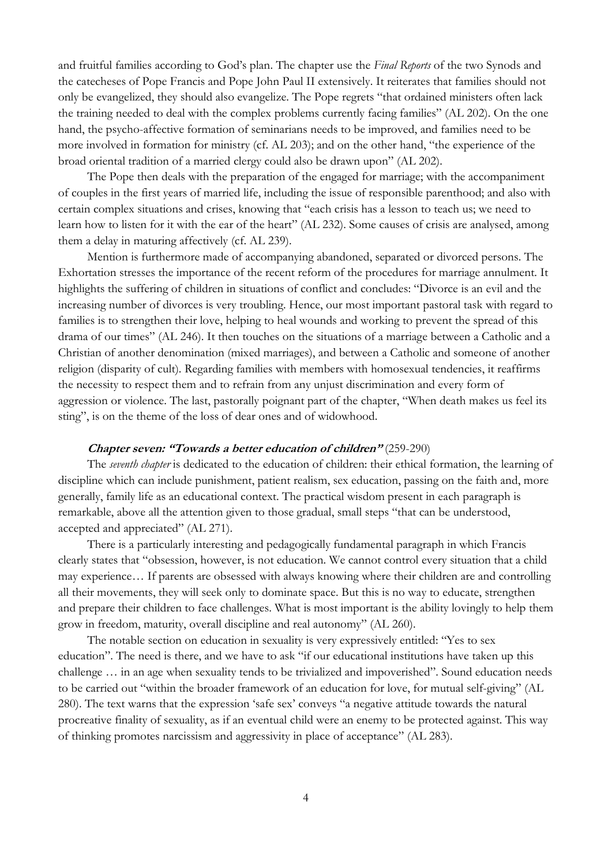and fruitful families according to God's plan. The chapter use the *Final Reports* of the two Synods and the catecheses of Pope Francis and Pope John Paul II extensively. It reiterates that families should not only be evangelized, they should also evangelize. The Pope regrets "that ordained ministers often lack the training needed to deal with the complex problems currently facing families" (AL 202). On the one hand, the psycho-affective formation of seminarians needs to be improved, and families need to be more involved in formation for ministry (cf. AL 203); and on the other hand, "the experience of the broad oriental tradition of a married clergy could also be drawn upon" (AL 202).

The Pope then deals with the preparation of the engaged for marriage; with the accompaniment of couples in the first years of married life, including the issue of responsible parenthood; and also with certain complex situations and crises, knowing that "each crisis has a lesson to teach us; we need to learn how to listen for it with the ear of the heart" (AL 232). Some causes of crisis are analysed, among them a delay in maturing affectively (cf. AL 239).

Mention is furthermore made of accompanying abandoned, separated or divorced persons. The Exhortation stresses the importance of the recent reform of the procedures for marriage annulment. It highlights the suffering of children in situations of conflict and concludes: "Divorce is an evil and the increasing number of divorces is very troubling. Hence, our most important pastoral task with regard to families is to strengthen their love, helping to heal wounds and working to prevent the spread of this drama of our times" (AL 246). It then touches on the situations of a marriage between a Catholic and a Christian of another denomination (mixed marriages), and between a Catholic and someone of another religion (disparity of cult). Regarding families with members with homosexual tendencies, it reaffirms the necessity to respect them and to refrain from any unjust discrimination and every form of aggression or violence. The last, pastorally poignant part of the chapter, "When death makes us feel its sting", is on the theme of the loss of dear ones and of widowhood.

## **Chapter seven: "Towards a better education of children"** (259-290)

The *seventh chapter* is dedicated to the education of children: their ethical formation, the learning of discipline which can include punishment, patient realism, sex education, passing on the faith and, more generally, family life as an educational context. The practical wisdom present in each paragraph is remarkable, above all the attention given to those gradual, small steps "that can be understood, accepted and appreciated" (AL 271).

There is a particularly interesting and pedagogically fundamental paragraph in which Francis clearly states that "obsession, however, is not education. We cannot control every situation that a child may experience… If parents are obsessed with always knowing where their children are and controlling all their movements, they will seek only to dominate space. But this is no way to educate, strengthen and prepare their children to face challenges. What is most important is the ability lovingly to help them grow in freedom, maturity, overall discipline and real autonomy" (AL 260).

The notable section on education in sexuality is very expressively entitled: "Yes to sex education". The need is there, and we have to ask "if our educational institutions have taken up this challenge … in an age when sexuality tends to be trivialized and impoverished". Sound education needs to be carried out "within the broader framework of an education for love, for mutual self-giving" (AL 280). The text warns that the expression 'safe sex' conveys "a negative attitude towards the natural procreative finality of sexuality, as if an eventual child were an enemy to be protected against. This way of thinking promotes narcissism and aggressivity in place of acceptance" (AL 283).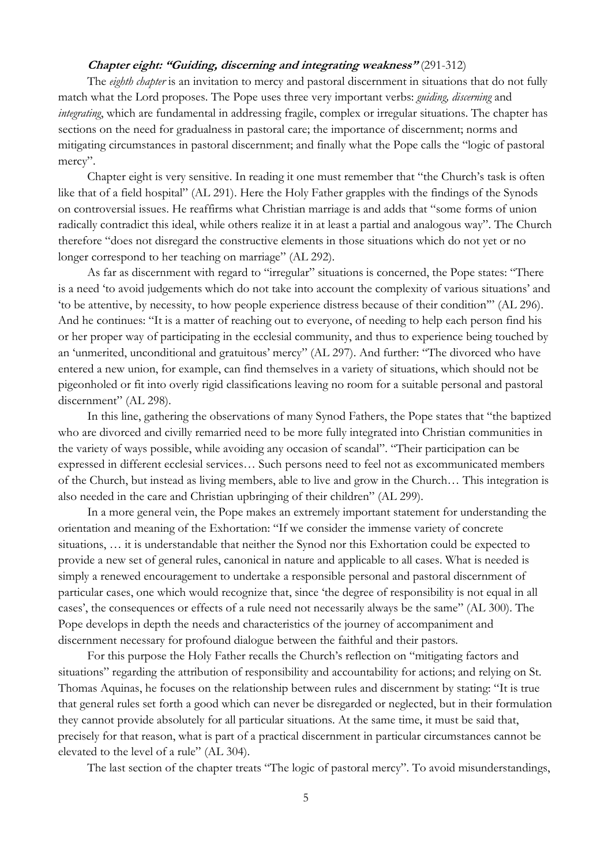# **Chapter eight: "Guiding, discerning and integrating weakness"** (291-312)

The *eighth chapter* is an invitation to mercy and pastoral discernment in situations that do not fully match what the Lord proposes. The Pope uses three very important verbs: *guiding, discerning* and *integrating*, which are fundamental in addressing fragile, complex or irregular situations. The chapter has sections on the need for gradualness in pastoral care; the importance of discernment; norms and mitigating circumstances in pastoral discernment; and finally what the Pope calls the "logic of pastoral mercy".

Chapter eight is very sensitive. In reading it one must remember that "the Church's task is often like that of a field hospital" (AL 291). Here the Holy Father grapples with the findings of the Synods on controversial issues. He reaffirms what Christian marriage is and adds that "some forms of union radically contradict this ideal, while others realize it in at least a partial and analogous way". The Church therefore "does not disregard the constructive elements in those situations which do not yet or no longer correspond to her teaching on marriage" (AL 292).

As far as discernment with regard to "irregular" situations is concerned, the Pope states: "There is a need 'to avoid judgements which do not take into account the complexity of various situations' and 'to be attentive, by necessity, to how people experience distress because of their condition'" (AL 296). And he continues: "It is a matter of reaching out to everyone, of needing to help each person find his or her proper way of participating in the ecclesial community, and thus to experience being touched by an 'unmerited, unconditional and gratuitous' mercy" (AL 297). And further: "The divorced who have entered a new union, for example, can find themselves in a variety of situations, which should not be pigeonholed or fit into overly rigid classifications leaving no room for a suitable personal and pastoral discernment" (AL 298).

In this line, gathering the observations of many Synod Fathers, the Pope states that "the baptized who are divorced and civilly remarried need to be more fully integrated into Christian communities in the variety of ways possible, while avoiding any occasion of scandal". "Their participation can be expressed in different ecclesial services… Such persons need to feel not as excommunicated members of the Church, but instead as living members, able to live and grow in the Church… This integration is also needed in the care and Christian upbringing of their children" (AL 299).

In a more general vein, the Pope makes an extremely important statement for understanding the orientation and meaning of the Exhortation: "If we consider the immense variety of concrete situations, … it is understandable that neither the Synod nor this Exhortation could be expected to provide a new set of general rules, canonical in nature and applicable to all cases. What is needed is simply a renewed encouragement to undertake a responsible personal and pastoral discernment of particular cases, one which would recognize that, since 'the degree of responsibility is not equal in all cases', the consequences or effects of a rule need not necessarily always be the same" (AL 300). The Pope develops in depth the needs and characteristics of the journey of accompaniment and discernment necessary for profound dialogue between the faithful and their pastors.

For this purpose the Holy Father recalls the Church's reflection on "mitigating factors and situations" regarding the attribution of responsibility and accountability for actions; and relying on St. Thomas Aquinas, he focuses on the relationship between rules and discernment by stating: "It is true that general rules set forth a good which can never be disregarded or neglected, but in their formulation they cannot provide absolutely for all particular situations. At the same time, it must be said that, precisely for that reason, what is part of a practical discernment in particular circumstances cannot be elevated to the level of a rule" (AL 304).

The last section of the chapter treats "The logic of pastoral mercy". To avoid misunderstandings,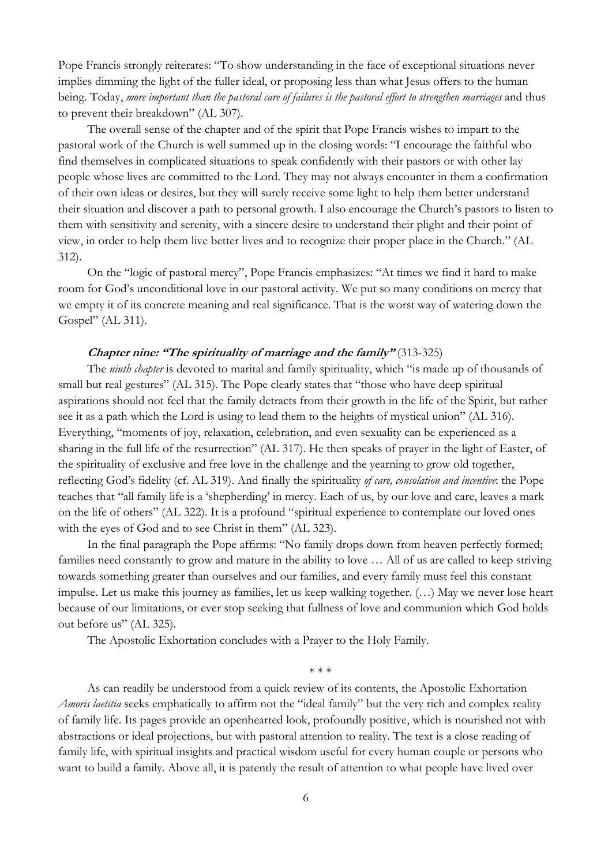Pope Francis strongly reiterates: "To show understanding in the face of exceptional situations never implies dimming the light of the fuller ideal, or proposing less than what Jesus offers to the human being. Today, *more important than the pastoral care of failures is the pastoral effort to strengthen marriages* and thus to prevent their breakdown" (AL 307).

The overall sense of the chapter and of the spirit that Pope Francis wishes to impart to the pastoral work of the Church is well summed up in the closing words: "I encourage the faithful who find themselves in complicated situations to speak confidently with their pastors or with other lay people whose lives are committed to the Lord. They may not always encounter in them a confirmation of their own ideas or desires, but they will surely receive some light to help them better understand their situation and discover a path to personal growth. I also encourage the Church's pastors to listen to them with sensitivity and serenity, with a sincere desire to understand their plight and their point of view, in order to help them live better lives and to recognize their proper place in the Church." (AL 312).

On the "logic of pastoral mercy", Pope Francis emphasizes: "At times we find it hard to make room for God's unconditional love in our pastoral activity. We put so many conditions on mercy that we empty it of its concrete meaning and real significance. That is the worst way of watering down the Gospel" (AL 311).

#### **Chapter nine: "The spirituality of marriage and the family"** (313-325)

The *ninth chapter* is devoted to marital and family spirituality, which "is made up of thousands of small but real gestures" (AL 315). The Pope clearly states that "those who have deep spiritual aspirations should not feel that the family detracts from their growth in the life of the Spirit, but rather see it as a path which the Lord is using to lead them to the heights of mystical union" (AL 316). Everything, "moments of joy, relaxation, celebration, and even sexuality can be experienced as a sharing in the full life of the resurrection" (AL 317). He then speaks of prayer in the light of Easter, of the spirituality of exclusive and free love in the challenge and the yearning to grow old together, reflecting God's fidelity (cf. AL 319). And finally the spirituality *of care, consolation and incentive*: the Pope teaches that "all family life is a 'shepherding' in mercy. Each of us, by our love and care, leaves a mark on the life of others" (AL 322). It is a profound "spiritual experience to contemplate our loved ones with the eyes of God and to see Christ in them" (AL 323).

In the final paragraph the Pope affirms: "No family drops down from heaven perfectly formed; families need constantly to grow and mature in the ability to love … All of us are called to keep striving towards something greater than ourselves and our families, and every family must feel this constant impulse. Let us make this journey as families, let us keep walking together. (…) May we never lose heart because of our limitations, or ever stop seeking that fullness of love and communion which God holds out before us" (AL 325).

The Apostolic Exhortation concludes with a Prayer to the Holy Family.

\* \* \*

As can readily be understood from a quick review of its contents, the Apostolic Exhortation *Amoris laetitia* seeks emphatically to affirm not the "ideal family" but the very rich and complex reality of family life. Its pages provide an openhearted look, profoundly positive, which is nourished not with abstractions or ideal projections, but with pastoral attention to reality. The text is a close reading of family life, with spiritual insights and practical wisdom useful for every human couple or persons who want to build a family. Above all, it is patently the result of attention to what people have lived over